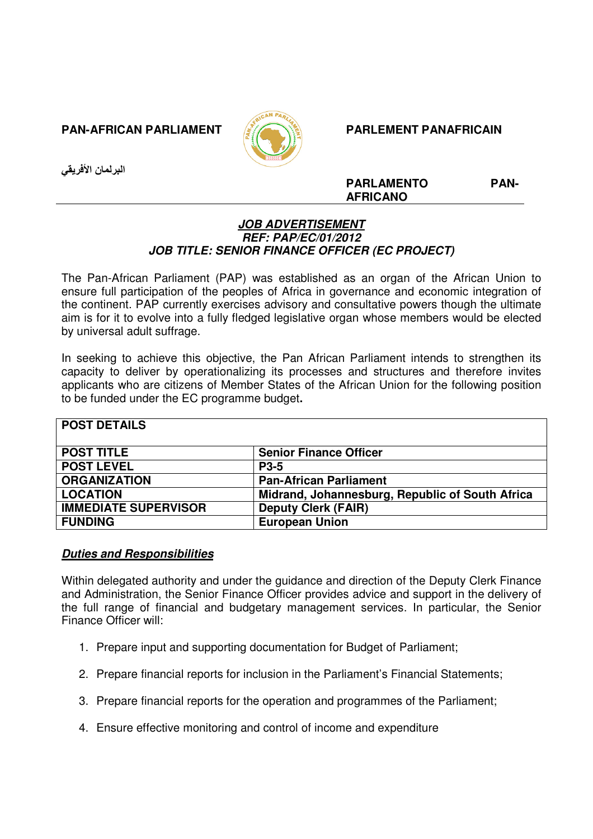**PAN-AFRICAN PARLIAMENT ACCORDING PARL PARL EMENT PANAFRICAIN** 



البرلمان الأفريقي

**PARLAMENTO PAN-AFRICANO** 

## **JOB ADVERTISEMENT REF: PAP/EC/01/2012 JOB TITLE: SENIOR FINANCE OFFICER (EC PROJECT)**

The Pan-African Parliament (PAP) was established as an organ of the African Union to ensure full participation of the peoples of Africa in governance and economic integration of the continent. PAP currently exercises advisory and consultative powers though the ultimate aim is for it to evolve into a fully fledged legislative organ whose members would be elected by universal adult suffrage.

In seeking to achieve this objective, the Pan African Parliament intends to strengthen its capacity to deliver by operationalizing its processes and structures and therefore invites applicants who are citizens of Member States of the African Union for the following position to be funded under the EC programme budget**.** 

| <b>POST DETAILS</b>         |                                                 |
|-----------------------------|-------------------------------------------------|
| <b>POST TITLE</b>           | <b>Senior Finance Officer</b>                   |
| <b>POST LEVEL</b>           | <b>P3-5</b>                                     |
| <b>ORGANIZATION</b>         | <b>Pan-African Parliament</b>                   |
| <b>LOCATION</b>             | Midrand, Johannesburg, Republic of South Africa |
| <b>IMMEDIATE SUPERVISOR</b> | <b>Deputy Clerk (FAIR)</b>                      |
| <b>FUNDING</b>              | <b>European Union</b>                           |

# **Duties and Responsibilities**

Within delegated authority and under the guidance and direction of the Deputy Clerk Finance and Administration, the Senior Finance Officer provides advice and support in the delivery of the full range of financial and budgetary management services. In particular, the Senior Finance Officer will:

- 1. Prepare input and supporting documentation for Budget of Parliament;
- 2. Prepare financial reports for inclusion in the Parliament's Financial Statements;
- 3. Prepare financial reports for the operation and programmes of the Parliament;
- 4. Ensure effective monitoring and control of income and expenditure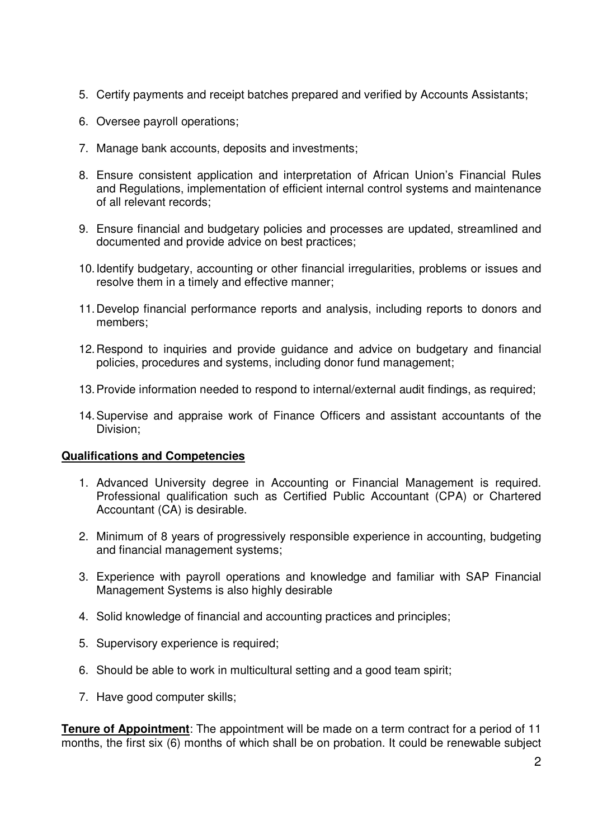- 5. Certify payments and receipt batches prepared and verified by Accounts Assistants;
- 6. Oversee payroll operations;
- 7. Manage bank accounts, deposits and investments;
- 8. Ensure consistent application and interpretation of African Union's Financial Rules and Regulations, implementation of efficient internal control systems and maintenance of all relevant records;
- 9. Ensure financial and budgetary policies and processes are updated, streamlined and documented and provide advice on best practices;
- 10. Identify budgetary, accounting or other financial irregularities, problems or issues and resolve them in a timely and effective manner;
- 11. Develop financial performance reports and analysis, including reports to donors and members;
- 12. Respond to inquiries and provide guidance and advice on budgetary and financial policies, procedures and systems, including donor fund management;
- 13. Provide information needed to respond to internal/external audit findings, as required;
- 14. Supervise and appraise work of Finance Officers and assistant accountants of the Division;

## **Qualifications and Competencies**

- 1. Advanced University degree in Accounting or Financial Management is required. Professional qualification such as Certified Public Accountant (CPA) or Chartered Accountant (CA) is desirable.
- 2. Minimum of 8 years of progressively responsible experience in accounting, budgeting and financial management systems;
- 3. Experience with payroll operations and knowledge and familiar with SAP Financial Management Systems is also highly desirable
- 4. Solid knowledge of financial and accounting practices and principles;
- 5. Supervisory experience is required;
- 6. Should be able to work in multicultural setting and a good team spirit;
- 7. Have good computer skills;

**Tenure of Appointment**: The appointment will be made on a term contract for a period of 11 months, the first six (6) months of which shall be on probation. It could be renewable subject